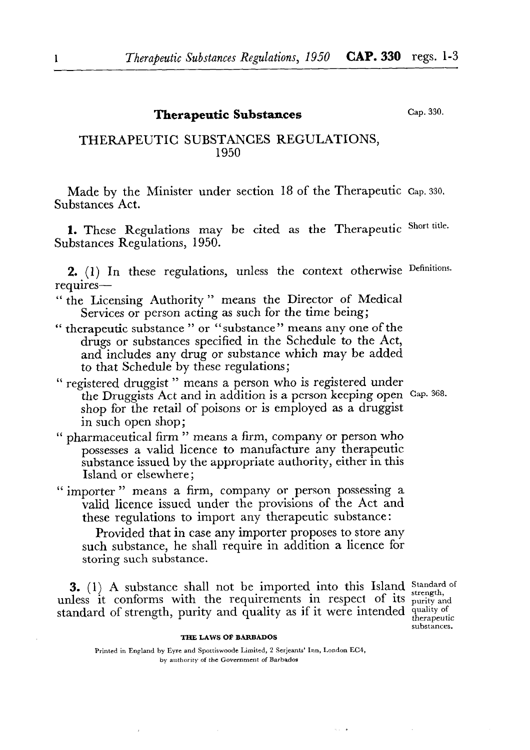# **Therapeutic Substances**

**cap. 330.** 

# THERAPEUTIC SUBSTANCES REGULATIONS, 1950

Made by the Minister under section 18 of the Therapeutic **Cap. 330.**  Substances Act.

1. These Regulations may be cited as the Therapeutic Short title. Substances Regulations, 1950.

2. (1) In these regulations, unless the context otherwise Definitions. requires—

- " the Licensing Authority " means the Director of Medical Services or person acting as such for the time being;
- " therapeutic substance " or "substance" means any one of the drugs or substances specified in the Schedule to the Act, and includes any drug or substance which may be added to that Schedule by these regulations;
- " registered druggist " means a person who is registered under the Druggists Act and in addition is a person keeping open **Cap. 368.**  shop for the retail of poisons or is employed as a druggist in such open shop;
- " pharmaceutical firm " means a firm, company or person who possesses a valid licence to manufacture any therapeutic substance issued by the appropriate authority, either in this Island or elsewhere;
- " importer " means a firm, company or person possessing a valid licence issued under the provisions of the Act and these regulations to import any therapeutic substance:

Provided that in case any importer proposes to store any such substance, he shall require in addition a licence for storing such substance.

3. (1) A substance shall not be imported into this Island Standard of strength, unless it conforms with the requirements in respect of its purity and standard of strength, purity and quality as if it were intended quality of therapeutic

**substances.** 

 $\alpha$  ,  $\alpha$  ,  $\beta$ 

#### **THE LAWS OF BARBADOS**

**Printed in England by Eyre and Sportiswoodc Limited, 2 Serjeants' Inn, London EC4, by authority of the Government of Barbados**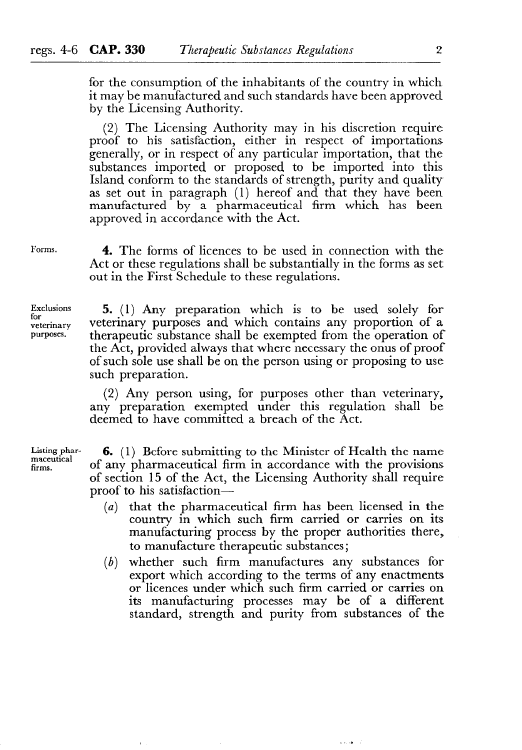for the consumption of the inhabitants of the country in which it may be manufactured and such standards have been approved by the Licensing Authority.

(2) The Licensing Authority may in his discretion require proof to his satisfaction, either in respect of importations generally, or in respect of any particular importation, that the substances imported or proposed to be imported into this Island conform to the standards of strength, purity and quality as set out in paragraph (1) hereof and that they have been manufactured by a pharmaceutical firm which has been approved in accordance with the Act.

**Forms.** 

4. The forms of licences to be used in connection with the Act or these regulations shall be substantially in the forms as set out in the First Schedule to these regulations.

**Exclusions for veterinary purposes.** 

5. (1) Any preparation which is to be used solely for veterinary purposes and which contains any proportion of a therapeutic substance shall be exempted from the operation of the Act, provided always that where necessary the onus of proof of such sole use shall be on the person using or proposing to use such preparation.

(2) Any person using, for purposes other than veterinary, any preparation exempted under this regulation shall be deemed to have committed a breach of the Act.

**Listing pharmaceutical firms.** 

6. (1) Before submitting to the Minister of Health the name of any pharmaceutical firm in accordance with the provisions of section 15 of the Act, the Licensing Authority shall require proof to his satisfaction-

- *(a)* that the pharmaceutical firm has been licensed in the country in which such firm carried or carries on its manufacturing process by the proper authorities there, to manufacture therapeutic substances;
- *(b)* whether such firm manufactures any substances for export which according to the terms of any enactments or licences under which such firm carried or carries on its manufacturing processes may be of a different standard, strength and purity from substances of the

 $\mu$  as  $\alpha\phi=\alpha^2$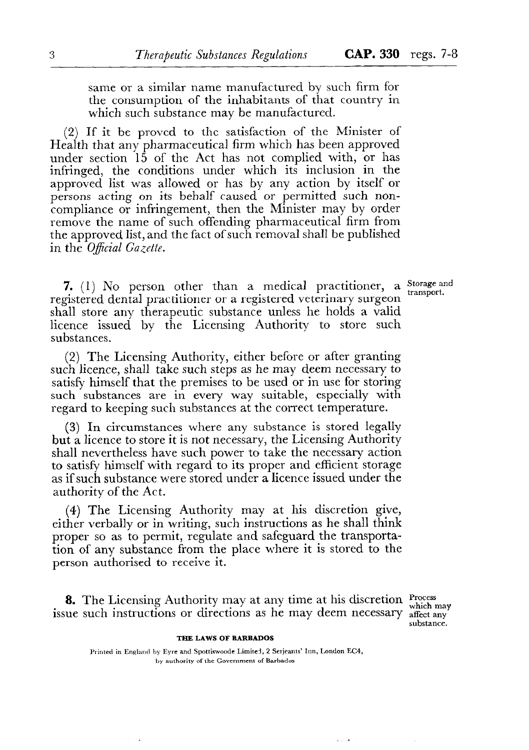same or a similar name manufactured by such firm for the consumption of the inhabitants of that country in which such substance may be manufactured.

(2) If it be proved to the satisfaction of the Minister of Health that any pharmaceutical firm which has been approved under section 15 of the Act has not complied with, or has infringed, the conditions under which its inclusion in the approved list was allowed or has by any action by itself or persons acting on its behalf caused or permitted such noncompliance or infringement, then the Minister may by order remove the name of such offending pharmaceutical firm from the approved list, and the fact of such removal shall be published in the *Oficial Gazette.* 

**transport.** 

7. (1) No person other than a medical practitioner, a Storage and registered dental practitioner or a registered veterinary surgeon shall store any therapeutic substance unless he holds a valid licence issued by the Licensing Authority to store such substances.

(2) The Licensing Authority, either before or after granting such licence, shall take such steps as he may deem necessary to satisfy himself that the premises to be used or in use for storing such substances are in every way suitable, especially with regard to keeping such substances at the correct temperature.

(3) In circumstances where any substance is stored legally but a licence to store it is not necessary, the Licensing Authority shall nevertheless have such power to take the necessary action to satisfy himself with regard to its proper and efficient storage as if such substance were stored under a licence issued under the authority of the Act.

(4) The Licensing Authority may at his discretion give, either verbally or in writing, such instructions as he shall think proper so as to permit, regulate and safeguard the transportation of any substance from the place where it is stored to the person authorised to receive it.

8. The Licensing Authority may at any time at his discretion  $\frac{Process}{which\ may}$ issue such instructions or directions as he may deem necessary affect any

**substance.** 

#### **THE LAWS OF BARBADOS**

Printed in England by Eyre and Spottiswoode Limited, 2 Serjeants' Inn, London EC4, **by authority of the Government of Barbados**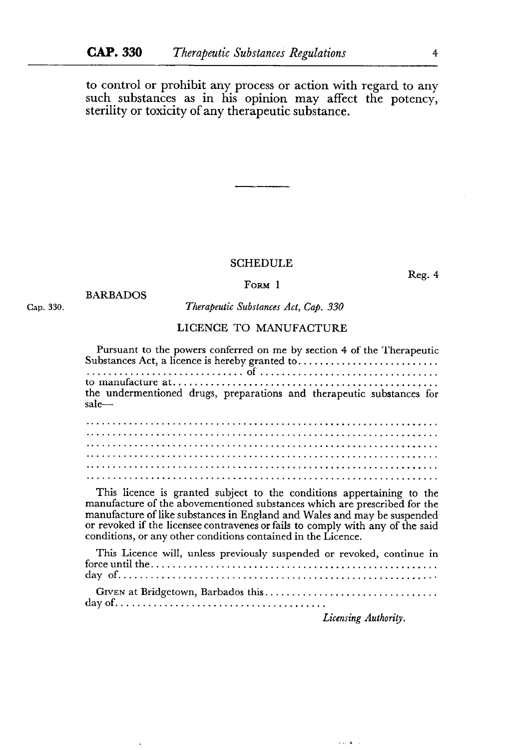to control or prohibit any process or action with regard to any such substances as in his opinion may affect the potency, sterility or toxicity of any therapeutic substance.

### SCHEDULE

**FORM** 1

BARBADOS

**Cap. 330.** 

*Therapeutic Substances Act, Cap. 330* 

## LICENCE TO MANUFACTURE

Pursuant to the powers conferred on me by section 4 of the Therapeutic Substances Act, a licence is hereby granted to. . . . . . . . . . . . . . . . . . . . . . . . . . . . . . . . . . . . . . . . . . . . . . . . ...\*... of..........................,...... to manufacture at. . . . . . . . . . . . . . . . . . . . . . . . . . . . . . . . . . . . . . . . . . . . . . . . . the undermentioned drugs, preparations and therapeutic substances for sale-................................................................. ................................................................. ................................................................. ................................................................. . . . . . . . . . . . . . . . . . . . . . . . . . . . . . . . . . . . . . . . . . . . . . . . . . . . . . . . . . . . . . . . . . . . . . . . . . . . . . . . . . . . . . . . . . . . . . . . . . . . . . . . . . . . . . . . . . . . . . . . . . . . . . . . . . .

This licence is granted subject to the conditions appertaining to the manufacture of the abovementioned substances which are prescribed for the manufacture of like substances in England and Wales and may be suspended or revoked if the licensee contravenes or fails to comply with any of the said conditions, or any other conditions contained in the Licence.

This Licence will, unless previously suspended or revoked, continue in forceuntilthe..................................................... day of.............................................,............. GIVEN at Bridgetown, Barbados this. . . . . . . . . . . . . . . . . . . . . . . . . . . . . . . . dayof......................................

*Licensing Authority.* 

 $\mathbb{C}$  and  $\mathbb{C}[\mathbf{k}]$  . In (

Reg. 4